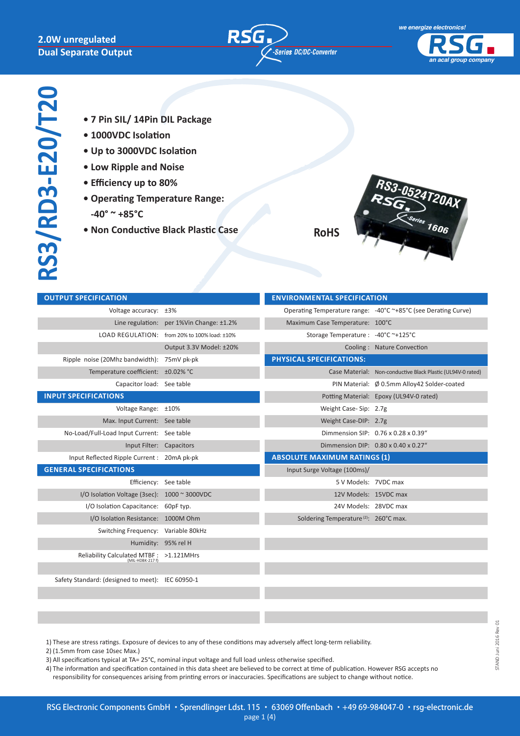#### **2.0W unregulated Dual Separate Output**





- **7 Pin SIL/ 14Pin DIL Package**
- **1000VDC Isolation**
- **Up to 3000VDC Isolation**
- **Low Ripple and Noise**
- **Efficiency up to 80%**
- **Operating Temperature Range:** 
	- **-40° ~ +85°C**
- **Non Conductive Black Plastic Case**

**RoHS**



| <b>OUTPUT SPECIFICATION</b>                                 |                                              | <b>ENVIRONMENTAL SPECIFICATION</b>                |                                                                |
|-------------------------------------------------------------|----------------------------------------------|---------------------------------------------------|----------------------------------------------------------------|
| Voltage accuracy: ±3%                                       |                                              |                                                   | Operating Temperature range: -40°C ~+85°C (see Derating Curve) |
|                                                             | Line regulation: per 1%Vin Change: ±1.2%     | Maximum Case Temperature: 100°C                   |                                                                |
|                                                             | LOAD REGULATION: from 20% to 100% load: ±10% | Storage Temperature: -40°C ~+125°C                |                                                                |
|                                                             | Output 3.3V Model: ±20%                      |                                                   | Cooling: Nature Convection                                     |
| Ripple noise (20Mhz bandwidth): 75mV pk-pk                  |                                              | <b>PHYSICAL SPECIFICATIONS:</b>                   |                                                                |
| Temperature coefficient: ±0.02% °C                          |                                              |                                                   | Case Material: Non-conductive Black Plastic (UL94V-0 rated)    |
| Capacitor load: See table                                   |                                              |                                                   | PIN Material: Ø 0.5mm Alloy42 Solder-coated                    |
| <b>INPUT SPECIFICATIONS</b>                                 |                                              |                                                   | Potting Material: Epoxy (UL94V-0 rated)                        |
| Voltage Range: ±10%                                         |                                              | Weight Case-Sip: 2.7g                             |                                                                |
| Max. Input Current: See table                               |                                              | Weight Case-DIP: 2.7g                             |                                                                |
| No-Load/Full-Load Input Current: See table                  |                                              |                                                   | Dimmension SIP: 0.76 x 0.28 x 0.39"                            |
| Input Filter: Capacitors                                    |                                              |                                                   | Dimmension DIP: 0.80 x 0.40 x 0.27"                            |
| Input Reflected Ripple Current: 20mA pk-pk                  |                                              | <b>ABSOLUTE MAXIMUM RATINGS (1)</b>               |                                                                |
| <b>GENERAL SPECIFICATIONS</b>                               |                                              | Input Surge Voltage (100ms)/                      |                                                                |
| Efficiency: See table                                       |                                              | 5 V Models: 7VDC max                              |                                                                |
| I/O Isolation Voltage (3sec): 1000 ~ 3000VDC                |                                              | 12V Models: 15VDC max                             |                                                                |
| I/O Isolation Capacitance: 60pF typ.                        |                                              | 24V Models: 28VDC max                             |                                                                |
| I/O Isolation Resistance: 1000M Ohm                         |                                              | Soldering Temperature <sup>(2)</sup> : 260°C max. |                                                                |
| Switching Frequency: Variable 80kHz                         |                                              |                                                   |                                                                |
|                                                             | Humidity: 95% rel H                          |                                                   |                                                                |
| Reliability Calculated MTBF: >1.121MHrs<br>(MIL-HDBK-217 f) |                                              |                                                   |                                                                |
|                                                             |                                              |                                                   |                                                                |
| Safety Standard: (designed to meet): IEC 60950-1            |                                              |                                                   |                                                                |

1) These are stress ratings. Exposure of devices to any of these conditions may adversely affect long-term reliability.

- 2) (1.5mm from case 10sec Max.)
- 3) All specifications typical at TA= 25°C, nominal input voltage and full load unless otherwise specified.
- 4) The information and specification contained in this data sheet are believed to be correct at time of publication. However RSG accepts no

responsibility for consequences arising from printing errors or inaccuracies. Specifications are subject to change without notice.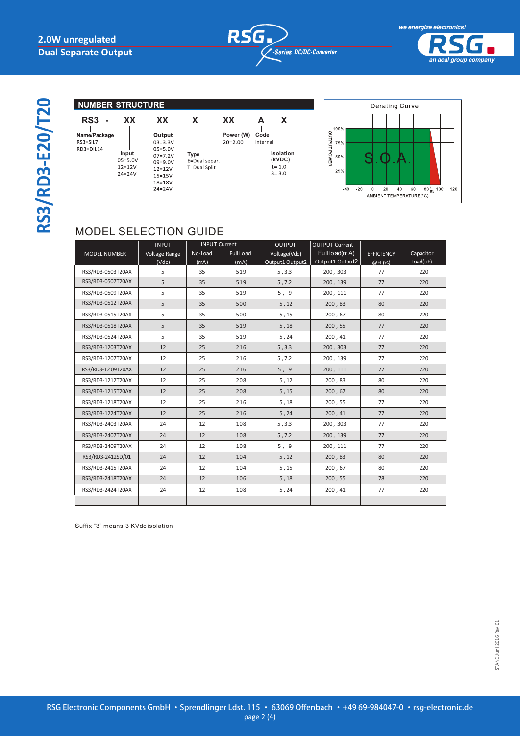RS3=SIL7<br>RS3=SIL7<br>RD3=DIL14

**RS3/RD3-E20/T20**

RS3/RD3-E20/T20



**Isolation**  $(kVDC)$ <br> $1=1.0$ 

 $3 = 3.0$ 

*an acal group company*





## MODEL SELECTION GUIDE

 $24 = 24V$ 

|                     | <b>INPUT</b>  | <b>INPUT Current</b> |                  | <b>OUTPUT</b>   | <b>OUTPUT Current</b> |                   |           |
|---------------------|---------------|----------------------|------------------|-----------------|-----------------------|-------------------|-----------|
| <b>MODEL NUMBER</b> | Voltage Range | No-Load              | <b>Full Load</b> | Voltage(Vdc)    | Full lo ad(mA)        | <b>EFFICIENCY</b> | Capacitor |
|                     | (Vdc)         | (mA)                 | (mA)             | Output1 Output2 | Output1 Output2       | @FL(%)            | Load(uF)  |
| RS3/RD3-0503T20AX   | 5             | 35                   | 519              | 5, 3.3          | 200, 303              | 77                | 220       |
| RS3/RD3-0507T20AX   | 5             | 35                   | 519              | 5, 7.2          | 200, 139              | 77                | 220       |
| RS3/RD3-0509T20AX   | 5             | 35                   | 519              | 5, 9            | 200, 111              | 77                | 220       |
| RS3/RD3-0512T20AX   | 5             | 35                   | 500              | 5, 12           | 200, 83               | 80                | 220       |
| RS3/RD3-0515T20AX   | 5             | 35                   | 500              | 5, 15           | 200, 67               | 80                | 220       |
| RS3/RD3-0518T20AX   | 5             | 35                   | 519              | 5,18            | 200, 55               | 77                | 220       |
| RS3/RD3-0524T20AX   | 5             | 35                   | 519              | 5, 24           | 200, 41               | 77                | 220       |
| RS3/RD3-1203T20AX   | 12            | 25                   | 216              | 5, 3.3          | 200, 303              | 77                | 220       |
| RS3/RD3-1207T20AX   | 12            | 25                   | 216              | 5, 7.2          | 200, 139              | 77                | 220       |
| RS3/RD3-1209T20AX   | 12            | 25                   | 216              | 5, 9            | 200, 111              | 77                | 220       |
| RS3/RD3-1212T20AX   | 12            | 25                   | 208              | 5, 12           | 200, 83               | 80                | 220       |
| RS3/RD3-1215T20AX   | 12            | 25                   | 208              | 5, 15           | 200, 67               | 80                | 220       |
| RS3/RD3-1218T20AX   | 12            | 25                   | 216              | 5,18            | 200, 55               | 77                | 220       |
| RS3/RD3-1224T20AX   | 12            | 25                   | 216              | 5, 24           | 200, 41               | 77                | 220       |
| RS3/RD3-2403T20AX   | 24            | 12                   | 108              | 5, 3.3          | 200, 303              | 77                | 220       |
| RS3/RD3-2407T20AX   | 24            | 12                   | 108              | 5, 7.2          | 200, 139              | 77                | 220       |
| RS3/RD3-2409T20AX   | 24            | 12                   | 108              | 5, 9            | 200, 111              | 77                | 220       |
| RS3/RD3-2412SD/01   | 24            | 12                   | 104              | 5, 12           | 200, 83               | 80                | 220       |
| RS3/RD3-2415T20AX   | 24            | 12                   | 104              | 5,15            | 200, 67               | 80                | 220       |
| RS3/RD3-2418T20AX   | 24            | 12                   | 106              | 5,18            | 200, 55               | 78                | 220       |
| RS3/RD3-2424T20AX   | 24            | 12                   | 108              | 5, 24           | 200, 41               | 77                | 220       |
|                     |               |                      |                  |                 |                       |                   |           |

Suffix "3" means 3 KVdc isolation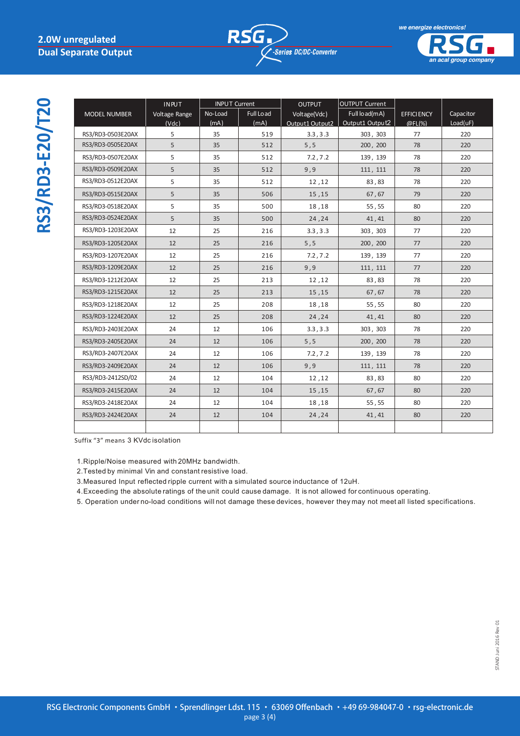INPUT



*an acal group company*

RS3/RD3-E20/T20 **RS3/RD3-E20/T20**

|                     | <b>INPUT</b>  | <b>INPUT Current</b> |                  | <b>OUTPUT</b>               | <b>OUTPUT Current</b>       |                   |                 |
|---------------------|---------------|----------------------|------------------|-----------------------------|-----------------------------|-------------------|-----------------|
| <b>MODEL NUMBER</b> | Voltage Range | No-Load              | <b>Full Load</b> | Voltage(Vdc)                | Full load(mA)               | <b>EFFICIENCY</b> | Capacitor       |
| RS3/RD3-0503E20AX   | (Vdc)<br>5    | (mA)<br>35           | (mA)<br>519      | Output1 Output2<br>3.3, 3.3 | Output1 Output2<br>303, 303 | @FL(%)<br>77      | Load(uF)<br>220 |
| RS3/RD3-0505E20AX   | 5             | 35                   | 512              | $5,5$                       | 200, 200                    | 78                | 220             |
| RS3/RD3-0507E20AX   | 5             | 35                   | 512              | 7.2, 7.2                    | 139, 139                    | 78                | 220             |
| RS3/RD3-0509E20AX   | 5             | 35                   | 512              | 9,9                         | 111, 111                    | 78                | 220             |
| RS3/RD3-0512E20AX   | 5             | 35                   | 512              | 12,12                       | 83,83                       | 78                | 220             |
| RS3/RD3-0515E20AX   | 5             | 35                   | 506              | 15, 15                      | 67,67                       | 79                | 220             |
| RS3/RD3-0518E20AX   | 5             | 35                   | 500              | 18,18                       | 55,55                       | 80                | 220             |
| RS3/RD3-0524E20AX   | 5             | 35                   | 500              | 24, 24                      | 41,41                       | 80                | 220             |
| RS3/RD3-1203E20AX   | 12            | 25                   | 216              | 3.3, 3.3                    | 303, 303                    | 77                | 220             |
| RS3/RD3-1205E20AX   | 12            | 25                   | 216              | $5,5$                       | 200, 200                    | 77                | 220             |
| RS3/RD3-1207E20AX   | 12            | 25                   | 216              | 7.2, 7.2                    | 139, 139                    | 77                | 220             |
| RS3/RD3-1209E20AX   | 12            | 25                   | 216              | 9,9                         | 111, 111                    | 77                | 220             |
| RS3/RD3-1212E20AX   | 12            | 25                   | 213              | 12,12                       | 83,83                       | 78                | 220             |
| RS3/RD3-1215E20AX   | 12            | 25                   | 213              | 15, 15                      | 67,67                       | 78                | 220             |
| RS3/RD3-1218E20AX   | 12            | 25                   | 208              | 18,18                       | 55,55                       | 80                | 220             |
| RS3/RD3-1224E20AX   | 12            | 25                   | 208              | 24, 24                      | 41,41                       | 80                | 220             |
| RS3/RD3-2403E20AX   | 24            | 12                   | 106              | 3.3, 3.3                    | 303, 303                    | 78                | 220             |
| RS3/RD3-2405E20AX   | 24            | 12                   | 106              | 5, 5                        | 200, 200                    | 78                | 220             |
| RS3/RD3-2407E20AX   | 24            | 12                   | 106              | 7.2, 7.2                    | 139, 139                    | 78                | 220             |
| RS3/RD3-2409E20AX   | 24            | 12                   | 106              | 9,9                         | 111, 111                    | 78                | 220             |
| RS3/RD3-2412SD/02   | 24            | 12                   | 104              | 12,12                       | 83,83                       | 80                | 220             |
| RS3/RD3-2415E20AX   | 24            | 12                   | 104              | 15, 15                      | 67,67                       | 80                | 220             |
| RS3/RD3-2418E20AX   | 24            | 12                   | 104              | 18,18                       | 55,55                       | 80                | 220             |
| RS3/RD3-2424E20AX   | 24            | 12                   | 104              | 24, 24                      | 41,41                       | 80                | 220             |
|                     |               |                      |                  |                             |                             |                   |                 |

Suffix "3" means 3 KVdc isolation

1.Ripple/Noise measured with 20MHz bandwidth.

2.Tested by minimal Vin and constant resistive load.

**NOTE** 3.Measured Input reflected ripple current with a simulated source inductance of 12uH.

4. Exceeding the absolute ratings of the unit could cause damage. It is not allowed for continuous operating.

5. Operation under no-load conditions will not damage these devices, however they may not meet all listed specifications.